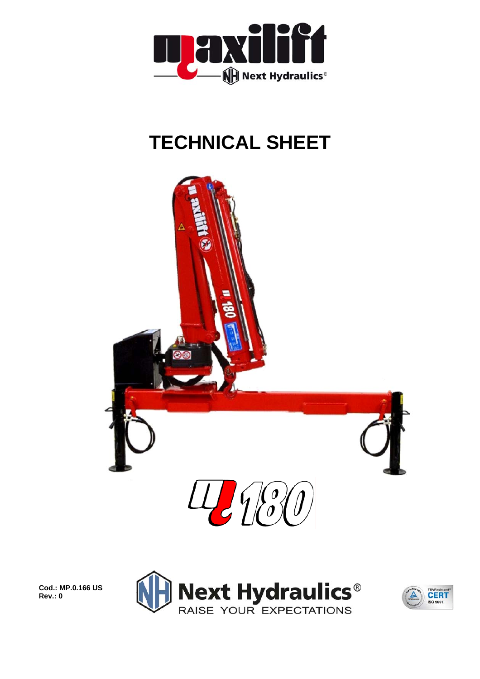

## **TECHNICAL SHEET**



**Cod.: MP.0.166 US Rev.: 0** 



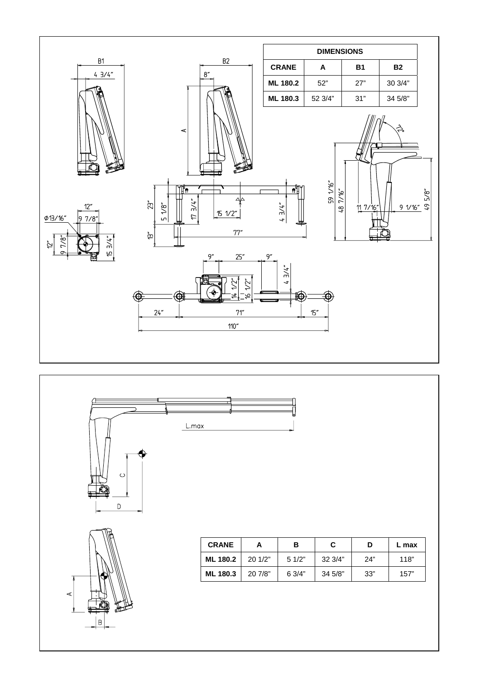





| <b>CRANE</b>    |         | в     | С       |     | L max |  |
|-----------------|---------|-------|---------|-----|-------|--|
| <b>ML 180.2</b> | 201/2"  | 51/2" | 32 3/4" | 24" | 118"  |  |
| <b>ML 180.3</b> | 20 7/8" | 63/4" | 34 5/8" | 33" | 157"  |  |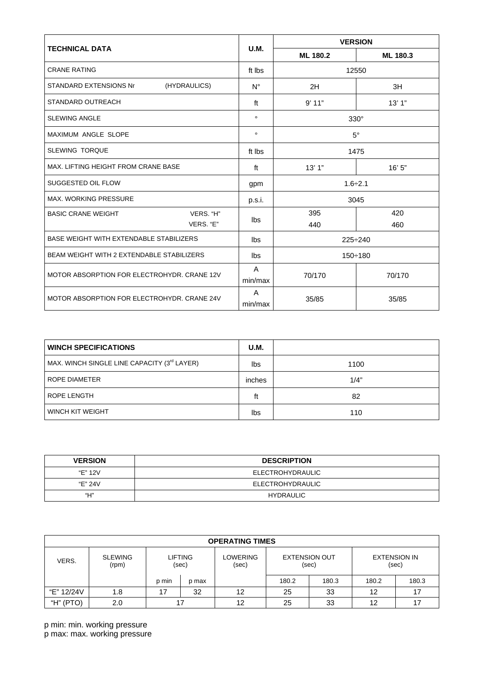|                                                |                         | <b>VERSION</b> |          |  |  |
|------------------------------------------------|-------------------------|----------------|----------|--|--|
| <b>TECHNICAL DATA</b>                          | <b>U.M.</b>             | ML 180.2       | ML 180.3 |  |  |
| <b>CRANE RATING</b>                            | ft Ibs                  |                | 12550    |  |  |
| STANDARD EXTENSIONS Nr<br>(HYDRAULICS)         | $N^{\circ}$             | 2H             | 3H       |  |  |
| <b>STANDARD OUTREACH</b>                       | ft                      | 9'11"          | 13'1"    |  |  |
| <b>SLEWING ANGLE</b>                           | $\circ$                 | $330^\circ$    |          |  |  |
| <b>MAXIMUM ANGLE SLOPE</b>                     | $\circ$                 | $5^\circ$      |          |  |  |
| <b>SLEWING TORQUE</b>                          | ft Ibs                  | 1475           |          |  |  |
| MAX. LIFTING HEIGHT FROM CRANE BASE            | ft                      | 13'1"          | 16'5''   |  |  |
| SUGGESTED OIL FLOW                             | gpm                     | $1.6 \div 2.1$ |          |  |  |
| <b>MAX. WORKING PRESSURE</b>                   | p.s.i.                  | 3045           |          |  |  |
| VERS. "H"<br><b>BASIC CRANE WEIGHT</b>         | lbs                     | 395            | 420      |  |  |
| VERS. "E"                                      |                         | 440            | 460      |  |  |
| <b>BASE WEIGHT WITH EXTENDABLE STABILIZERS</b> | lbs                     | $225 \div 240$ |          |  |  |
| BEAM WEIGHT WITH 2 EXTENDABLE STABILIZERS      | lbs                     | $150 \div 180$ |          |  |  |
| MOTOR ABSORPTION FOR ELECTROHYDR, CRANE 12V    | $\mathsf{A}$<br>min/max | 70/170         | 70/170   |  |  |
| MOTOR ABSORPTION FOR ELECTROHYDR, CRANE 24V    | A<br>min/max            | 35/85          | 35/85    |  |  |

| <b>WINCH SPECIFICATIONS</b>                 |        |      |
|---------------------------------------------|--------|------|
| MAX. WINCH SINGLE LINE CAPACITY (3rd LAYER) |        | 1100 |
| ROPE DIAMETER                               | inches | 1/4" |
| ROPE LENGTH                                 | ft     | 82   |
| WINCH KIT WEIGHT                            | lbs    | 110  |

| <b>VERSION</b> | <b>DESCRIPTION</b>      |  |  |  |
|----------------|-------------------------|--|--|--|
| "E" 12V        | ELECTROHYDRAULIC        |  |  |  |
| "E" 24V        | <b>ELECTROHYDRAULIC</b> |  |  |  |
| "Н"            | HYDRAULIC               |  |  |  |

| <b>OPERATING TIMES</b> |                         |                         |       |                          |                               |       |                              |       |
|------------------------|-------------------------|-------------------------|-------|--------------------------|-------------------------------|-------|------------------------------|-------|
| VERS.                  | <b>SLEWING</b><br>(rpm) | <b>LIFTING</b><br>(sec) |       | <b>LOWERING</b><br>(sec) | <b>EXTENSION OUT</b><br>(sec) |       | <b>EXTENSION IN</b><br>(sec) |       |
|                        |                         | p min                   | p max |                          | 180.2                         | 180.3 | 180.2                        | 180.3 |
| "E" 12/24V             | 1.8                     | 17                      | 32    | 12                       | 25                            | 33    | 12                           |       |
| "H" (PTO)              | 2.0                     |                         |       | 12                       | 25                            | 33    | 12                           |       |

p min: min. working pressure p max: max. working pressure